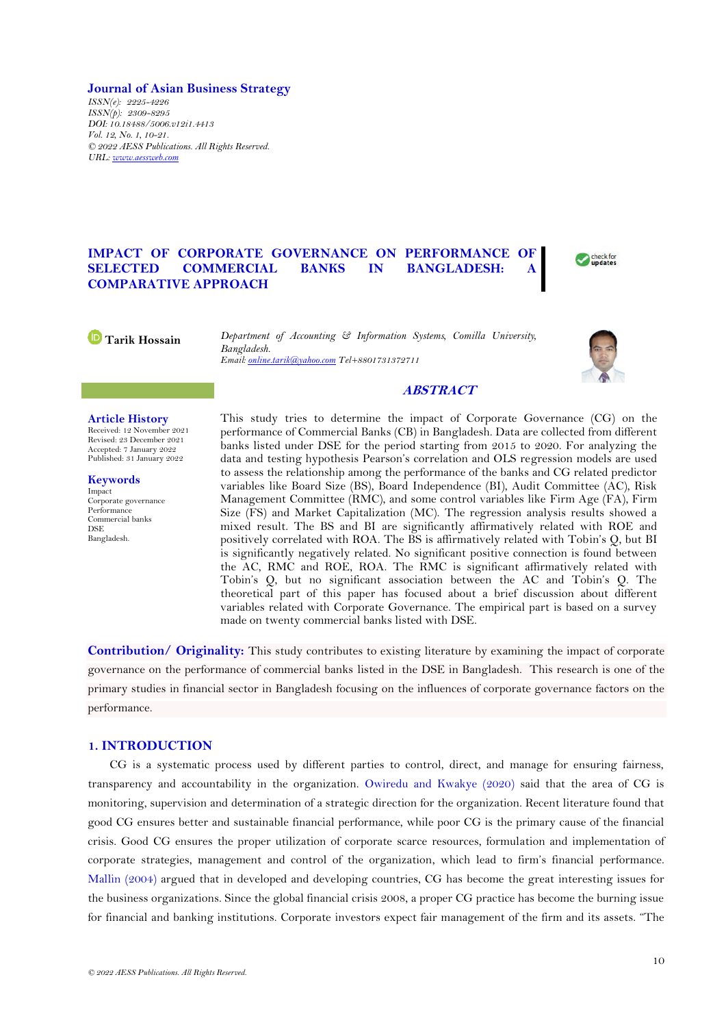### **Journal of Asian Business Strategy**

*ISSN(e): 2225-4226 ISSN(p): 2309-8295 DOI: 10.18488/5006.v12i1.4413 Vol. 12, No. 1, 10-21. © 2022 AESS Publications. All Rights Reserved. URL: [www.aessweb.com](http://www.aessweb.com/)*

# **IMPACT OF CORPORATE GOVERNANCE ON PERFORMANCE OF SELECTED COMMERCIAL BANKS IN BANGLADESH: COMPARATIVE APPROACH**



**Tarik Hossain** *Department of Accounting & Information Systems, Comilla University, Bangladesh. Email[: online.tarik@yahoo.com](mailto:online.tarik@yahoo.com) Tel+8801731372711*



# **ABSTRACT**

#### **Article History**

Received: 12 November 2021 Revised: 23 December 2021 Accepted: 7 January 2022 Published: 31 January 2022

**Keywords** Impact Corporate governance

Performance Commercial banks **DSE** Bangladesh.

This study tries to determine the impact of Corporate Governance (CG) on the performance of Commercial Banks (CB) in Bangladesh. Data are collected from different banks listed under DSE for the period starting from 2015 to 2020. For analyzing the data and testing hypothesis Pearson's correlation and OLS regression models are used to assess the relationship among the performance of the banks and CG related predictor variables like Board Size (BS), Board Independence (BI), Audit Committee (AC), Risk Management Committee (RMC), and some control variables like Firm Age (FA), Firm Size (FS) and Market Capitalization (MC). The regression analysis results showed a mixed result. The BS and BI are significantly affirmatively related with ROE and positively correlated with ROA. The BS is affirmatively related with Tobin's Q, but BI is significantly negatively related. No significant positive connection is found between the AC, RMC and ROE, ROA. The RMC is significant affirmatively related with Tobin's Q, but no significant association between the AC and Tobin's Q. The theoretical part of this paper has focused about a brief discussion about different variables related with Corporate Governance. The empirical part is based on a survey made on twenty commercial banks listed with DSE.

**Contribution/ Originality:** This study contributes to existing literature by examining the impact of corporate governance on the performance of commercial banks listed in the DSE in Bangladesh. This research is one of the primary studies in financial sector in Bangladesh focusing on the influences of corporate governance factors on the performance.

# **1. INTRODUCTION**

CG is a systematic process used by different parties to control, direct, and manage for ensuring fairness, transparency and accountability in the organization. [Owiredu and Kwakye \(2020\)](#page-10-0) said that the area of CG is monitoring, supervision and determination of a strategic direction for the organization. Recent literature found that good CG ensures better and sustainable financial performance, while poor CG is the primary cause of the financial crisis. Good CG ensures the proper utilization of corporate scarce resources, formulation and implementation of corporate strategies, management and control of the organization, which lead to firm's financial performance. [Mallin \(2004\)](#page-10-1) argued that in developed and developing countries, CG has become the great interesting issues for the business organizations. Since the global financial crisis 2008, a proper CG practice has become the burning issue for financial and banking institutions. Corporate investors expect fair management of the firm and its assets. "The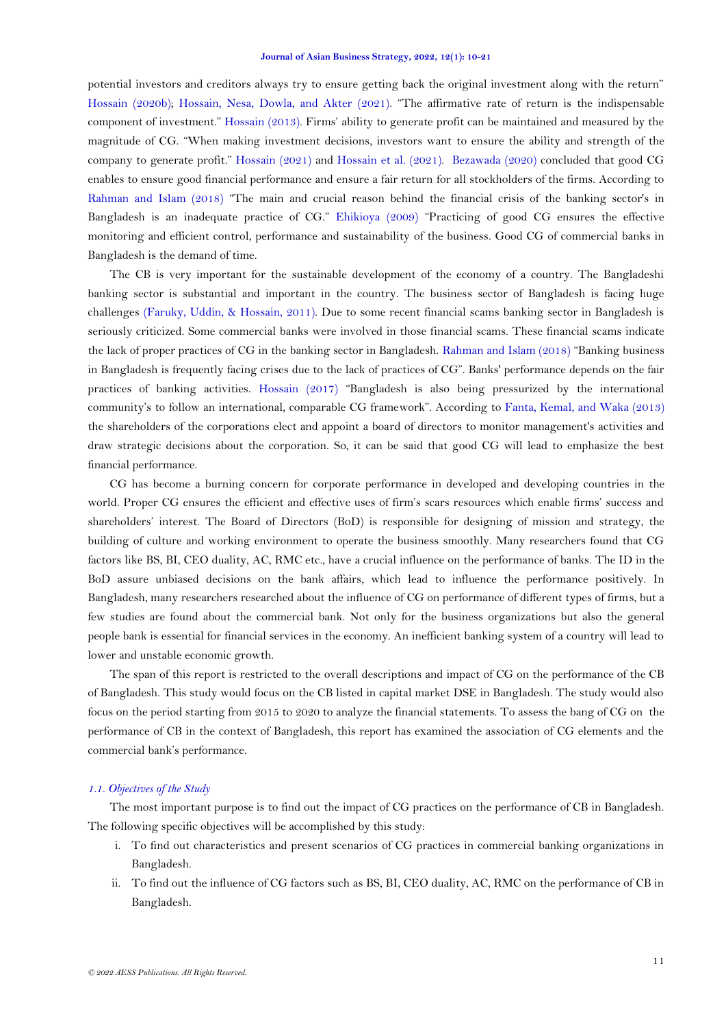#### **Journal of Asian Business Strategy, 2022, 12(1): 10-21**

potential investors and creditors always try to ensure getting back the original investment along with the return" [Hossain \(2020b\)](#page-10-2); Hossain, [Nesa, Dowla, and Akter \(2021\)](#page-10-3). "The affirmative rate of return is the indispensable component of investment." [Hossain](#page-10-4) (2013). Firms' ability to generate profit can be maintained and measured by the magnitude of CG. "When making investment decisions, investors want to ensure the ability and strength of the company to generate profit." [Hossain](#page-10-5) (2021) and Hossain [et al. \(2021\)](#page-10-3). [Bezawada \(2020\)](#page-9-0) concluded that good CG enables to ensure good financial performance and ensure a fair return for all stockholders of the firms. According to [Rahman and Islam \(2018\)](#page-10-6) "The main and crucial reason behind the financial crisis of the banking sector's in Bangladesh is an inadequate practice of CG." [Ehikioya \(2009\)](#page-9-1) "Practicing of good CG ensures the effective monitoring and efficient control, performance and sustainability of the business. Good CG of commercial banks in Bangladesh is the demand of time.

The CB is very important for the sustainable development of the economy of a country. The Bangladeshi banking sector is substantial and important in the country. The business sector of Bangladesh is facing huge challenges [\(Faruky, Uddin, & Hossain, 2011\)](#page-9-2). Due to some recent financial scams banking sector in Bangladesh is seriously criticized. Some commercial banks were involved in those financial scams. These financial scams indicate the lack of proper practices of CG in the banking sector in Bangladesh. [Rahman and Islam \(2018\)](#page-10-6) "Banking business in Bangladesh is frequently facing crises due to the lack of practices of CG". Banks' performance depends on the fair practices of banking activities. [Hossain](#page-10-7) (2017) "Bangladesh is also being pressurized by the international community's to follow an international, comparable CG framework". According to [Fanta, Kemal, and Waka \(2013\)](#page-9-3) the shareholders of the corporations elect and appoint a board of directors to monitor management's activities and draw strategic decisions about the corporation. So, it can be said that good CG will lead to emphasize the best financial performance.

CG has become a burning concern for corporate performance in developed and developing countries in the world. Proper CG ensures the efficient and effective uses of firm's scars resources which enable firms' success and shareholders' interest. The Board of Directors (BoD) is responsible for designing of mission and strategy, the building of culture and working environment to operate the business smoothly. Many researchers found that CG factors like BS, BI, CEO duality, AC, RMC etc., have a crucial influence on the performance of banks. The ID in the BoD assure unbiased decisions on the bank affairs, which lead to influence the performance positively. In Bangladesh, many researchers researched about the influence of CG on performance of different types of firms, but a few studies are found about the commercial bank. Not only for the business organizations but also the general people bank is essential for financial services in the economy. An inefficient banking system of a country will lead to lower and unstable economic growth.

The span of this report is restricted to the overall descriptions and impact of CG on the performance of the CB of Bangladesh. This study would focus on the CB listed in capital market DSE in Bangladesh. The study would also focus on the period starting from 2015 to 2020 to analyze the financial statements. To assess the bang of CG on the performance of CB in the context of Bangladesh, this report has examined the association of CG elements and the commercial bank's performance.

# *1.1. Objectives of the Study*

The most important purpose is to find out the impact of CG practices on the performance of CB in Bangladesh. The following specific objectives will be accomplished by this study:

- i. To find out characteristics and present scenarios of CG practices in commercial banking organizations in Bangladesh.
- ii. To find out the influence of CG factors such as BS, BI, CEO duality, AC, RMC on the performance of CB in Bangladesh.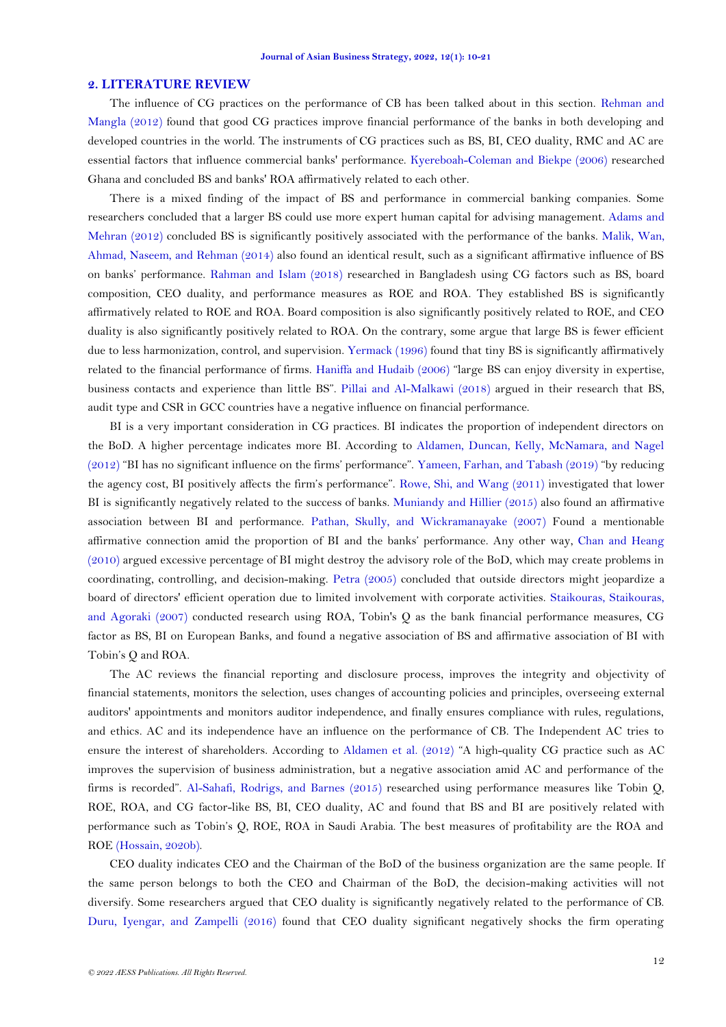### **2. LITERATURE REVIEW**

The influence of CG practices on the performance of CB has been talked about in this section. [Rehman](#page-11-0) and [Mangla](#page-11-0) (2012) found that good CG practices improve financial performance of the banks in both developing and developed countries in the world. The instruments of CG practices such as BS, BI, CEO duality, RMC and AC are essential factors that influence commercial banks' performance. [Kyereboah-Coleman and Biekpe \(2006\)](#page-10-8) researched Ghana and concluded BS and banks' ROA affirmatively related to each other.

There is a mixed finding of the impact of BS and performance in commercial banking companies. Some researchers concluded that a larger BS could use more expert human capital for advising management. [Adams and](#page-9-4)  [Mehran \(2012\)](#page-9-4) concluded BS is significantly positively associated with the performance of the banks. [Malik, Wan,](#page-10-9)  [Ahmad, Naseem, and Rehman \(2014\)](#page-10-9) also found an identical result, such as a significant affirmative influence of BS on banks' performance. [Rahman and Islam \(2018\)](#page-10-6) researched in Bangladesh using CG factors such as BS, board composition, CEO duality, and performance measures as ROE and ROA. They established BS is significantly affirmatively related to ROE and ROA. Board composition is also significantly positively related to ROE, and CEO duality is also significantly positively related to ROA. On the contrary, some argue that large BS is fewer efficient due to less harmonization, control, and supervision. [Yermack \(1996\)](#page-11-1) found that tiny BS is significantly affirmatively related to the financial performance of firms. [Haniffa and Hudaib \(2006\)](#page-10-10) "large BS can enjoy diversity in expertise, business contacts and experience than little BS". [Pillai and Al-Malkawi \(2018\)](#page-10-11) argued in their research that BS, audit type and CSR in GCC countries have a negative influence on financial performance.

BI is a very important consideration in CG practices. BI indicates the proportion of independent directors on the BoD. A higher percentage indicates more BI. According to [Aldamen, Duncan, Kelly, McNamara, and Nagel](#page-9-5)  [\(2012\)](#page-9-5) "BI has no significant influence on the firms' performance". [Yameen, Farhan, and Tabash \(2019\)](#page-11-2) "by reducing the agency cost, BI positively affects the firm's performance". [Rowe, Shi, and Wang \(2011\)](#page-11-3) investigated that lower BI is significantly negatively related to the success of banks. [Muniandy and Hillier \(2015\)](#page-10-12) also found an affirmative association between BI and performance. [Pathan, Skully, and Wickramanayake \(2007\)](#page-10-13) Found a mentionable affirmative connection amid the proportion of BI and the banks' performance. [Any other way,](https://www.thesaurus.com/browse/any%20other%20way) [Chan and Heang](#page-9-6)  [\(2010\)](#page-9-6) argued excessive percentage of BI might destroy the advisory role of the BoD, which may create problems in coordinating, controlling, and decision-making. [Petra \(2005\)](#page-10-14) concluded that outside directors might jeopardize a board of directors' efficient operation due to limited involvement with corporate activities. [Staikouras, Staikouras,](#page-11-4)  [and Agoraki \(2007\)](#page-11-4) conducted research using ROA, Tobin's Q as the bank financial performance measures, CG factor as BS, BI on European Banks, and found a negative association of BS and affirmative association of BI with Tobin's Q and ROA.

The AC reviews the financial reporting and disclosure process, improves the integrity and objectivity of financial statements, monitors the selection, uses changes of accounting policies and principles, overseeing external auditors' appointments and monitors auditor independence, and finally ensures compliance with rules, regulations, and ethics. AC and its independence have an influence on the performance of CB. The Independent AC tries to ensure the interest of shareholders. According to [Aldamen et al. \(2012\)](#page-9-5) "A high-quality CG practice such as AC improves the supervision of business administration, but a negative association amid AC and performance of the firms is recorded". [Al-Sahafi, Rodrigs, and Barnes \(2015\)](#page-9-7) researched using performance measures like Tobin Q, ROE, ROA, and CG factor-like BS, BI, CEO duality, AC and found that BS and BI are positively related with performance such as Tobin's Q, ROE, ROA in Saudi Arabia. The best measures of profitability are the ROA and ROE [\(Hossain, 2020b\)](#page-10-2).

CEO duality indicates CEO and the Chairman of the BoD of the business organization are the same people. If the same person belongs to both the CEO and Chairman of the BoD, the decision-making activities will not diversify. Some researchers argued that CEO duality is significantly negatively related to the performance of CB. [Duru, Iyengar, and Zampelli \(2016\)](#page-9-8) found that CEO duality significant negatively shocks the firm operating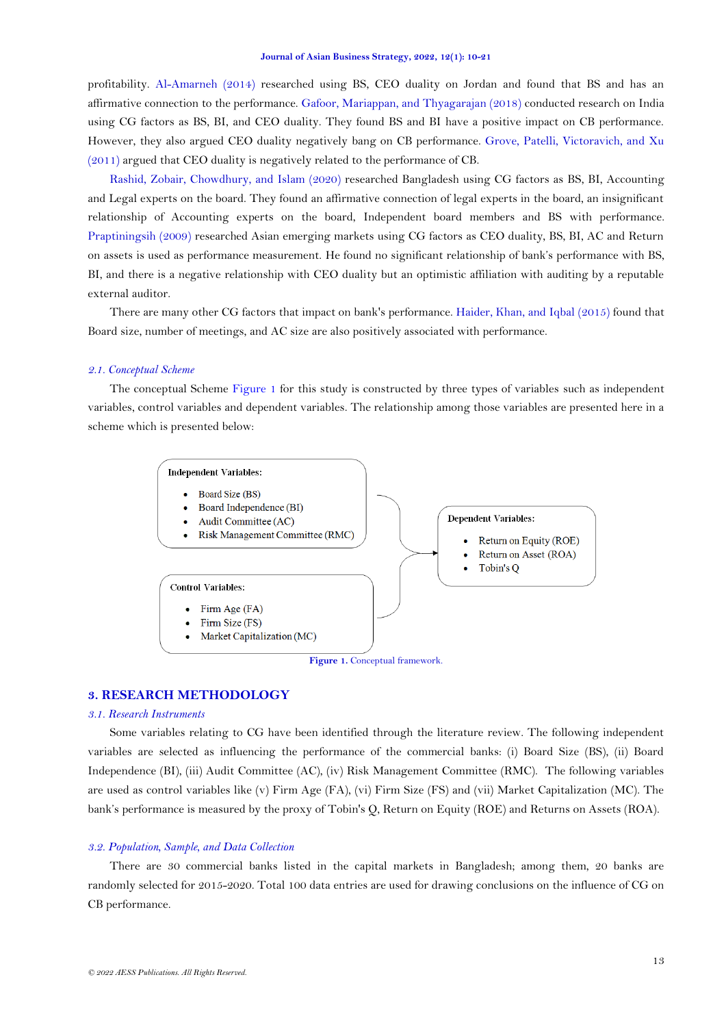profitability. [Al-Amarneh \(2014\)](#page-9-9) researched using BS, CEO duality on Jordan and found that BS and has an affirmative connection to the performance. [Gafoor, Mariappan, and Thyagarajan \(2018\)](#page-9-10) conducted research on India using CG factors as BS, BI, and CEO duality. They found BS and BI have a positive impact on CB performance. However, they also argued CEO duality negatively bang on CB performance. [Grove, Patelli, Victoravich, and Xu](#page-10-15)  [\(2011\)](#page-10-15) argued that CEO duality is negatively related to the performance of CB.

[Rashid, Zobair, Chowdhury, and Islam \(2020\)](#page-11-5) researched Bangladesh using CG factors as BS, BI, Accounting and Legal experts on the board. They found an affirmative connection of legal experts in the board, an insignificant relationship of Accounting experts on the board, Independent board members and BS with performance. [Praptiningsih \(2009\)](#page-10-16) researched Asian emerging markets using CG factors as CEO duality, BS, BI, AC and Return on assets is used as performance measurement. He found no significant relationship of bank's performance with BS, BI, and there is a negative relationship with CEO duality but an optimistic affiliation with auditing by a reputable external auditor.

There are many other CG factors that impact on bank's performance. [Haider, Khan, and Iqbal \(2015\)](#page-10-17) found that Board size, number of meetings, and AC size are also positively associated with performance.

### *2.1. Conceptual Scheme*

The conceptual Scheme [Figure](#page-3-0) 1 for this study is constructed by three types of variables such as independent variables, control variables and dependent variables. The relationship among those variables are presented here in a scheme which is presented below:



**Figure 1.** Conceptual framework.

# <span id="page-3-0"></span>**3. RESEARCH METHODOLOGY**

### *3.1. Research Instruments*

Some variables relating to CG have been identified through the literature review. The following independent variables are selected as influencing the performance of the commercial banks: (i) Board Size (BS), (ii) Board Independence (BI), (iii) Audit Committee (AC), (iv) Risk Management Committee (RMC). The following variables are used as control variables like (v) Firm Age (FA), (vi) Firm Size (FS) and (vii) Market Capitalization (MC). The bank's performance is measured by the proxy of Tobin's Q, Return on Equity (ROE) and Returns on Assets (ROA).

## *3.2. Population, Sample, and Data Collection*

There are 30 commercial banks listed in the capital markets in Bangladesh; among them, 20 banks are randomly selected for 2015-2020. Total 100 data entries are used for drawing conclusions on the influence of CG on CB performance.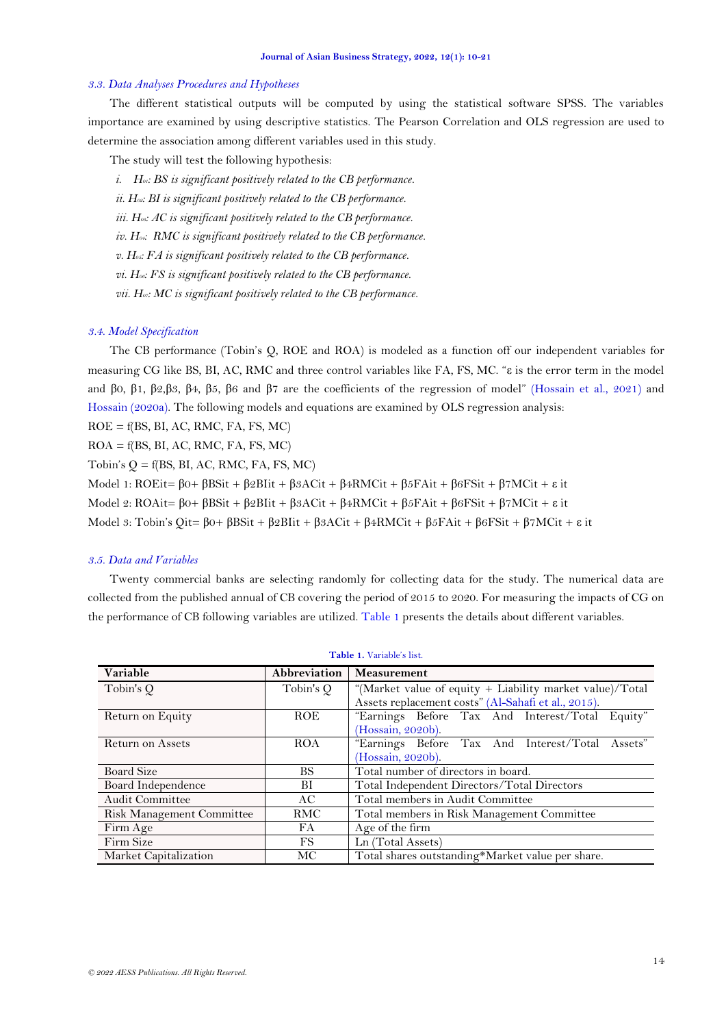#### *3.3. Data Analyses Procedures and Hypotheses*

The different statistical outputs will be computed by using the statistical software SPSS. The variables importance are examined by using descriptive statistics. The Pearson Correlation and OLS regression are used to determine the association among different variables used in this study.

The study will test the following hypothesis:

- *i. H01: BS is significant positively related to the CB performance.*
- *ii. H02: BI is significant positively related to the CB performance.*
- *iii. H03: AC is significant positively related to the CB performance.*

*iv. H04: RMC is significant positively related to the CB performance.*

*v. H05: FA is significant positively related to the CB performance.*

*vi. H06: FS is significant positively related to the CB performance.* 

*vii. H07: MC is significant positively related to the CB performance.*

### *3.4. Model Specification*

The CB performance (Tobin's Q, ROE and ROA) is modeled as a function off our independent variables for measuring CG like BS, BI, AC, RMC and three control variables like FA, FS, MC. "ε is the error term in the model and β0, β1, β2,β3, β4, β5, β6 and β7 are the coefficients of the regression of model" (Hossain [et al., 2021\)](#page-10-3) and [Hossain \(2020a\)](#page-10-18). The following models and equations are examined by OLS regression analysis:

 $ROE = f(BS, BI, AC, RMC, FA, FS, MC)$ 

 $ROA = f(BS, BI, AC, RMC, FA, FS, MC)$ 

Tobin's  $Q = f(BS, BI, AC, RMC, FA, FS, MC)$ 

Model 1:  $ROEit = \beta 0 + \beta BSit + \beta 2Blit + \beta 3ACit + \beta 4RMCit + \beta 5FAit + \beta 6FSit + \beta 7MCit + ε it$ 

Model 2:  $ROAit = \beta 0 + \beta BSit + \beta 2BIit + \beta 3ACit + \beta 4RMCit + \beta 5FAit + \beta 6FSit + \beta 7MCit + \epsilon it$ 

Model 3: Tobin's Qit= β0+ βBSit + β2BIit + β3ACit + β4RMCit + β5FAit + β6FSit + β7MCit + ε it

### *3.5. Data and Variables*

Twenty commercial banks are selecting randomly for collecting data for the study. The numerical data are collected from the published annual of CB covering the period of 2015 to 2020. For measuring the impacts of CG on the performance of CB following variables are utilized. [Table](#page-4-0) 1 presents the details about different variables.

<span id="page-4-0"></span>

| Variable                  | Abbreviation | Measurement                                              |  |  |  |  |
|---------------------------|--------------|----------------------------------------------------------|--|--|--|--|
| Tobin's Q                 | Tobin's Q    | "(Market value of equity + Liability market value)/Total |  |  |  |  |
|                           |              | Assets replacement costs" (Al-Sahafi et al., 2015).      |  |  |  |  |
| Return on Equity          | <b>ROE</b>   | "Earnings Before Tax And Interest/Total Equity"          |  |  |  |  |
|                           |              | (Hossain, 2020b).                                        |  |  |  |  |
| Return on Assets          | <b>ROA</b>   | "Earnings Before Tax And Interest/Total Assets"          |  |  |  |  |
|                           |              | (Hossain, 2020b).                                        |  |  |  |  |
| <b>Board Size</b>         | <b>BS</b>    | Total number of directors in board.                      |  |  |  |  |
| Board Independence        | BI           | Total Independent Directors/Total Directors              |  |  |  |  |
| <b>Audit Committee</b>    | AC.          | Total members in Audit Committee                         |  |  |  |  |
| Risk Management Committee | <b>RMC</b>   | Total members in Risk Management Committee               |  |  |  |  |
| Firm Age                  | FA           | Age of the firm                                          |  |  |  |  |
| Firm Size                 | FS.          | Ln (Total Assets)                                        |  |  |  |  |
| Market Capitalization     | МC           | Total shares outstanding*Market value per share.         |  |  |  |  |

#### **Table 1.** Variable's list.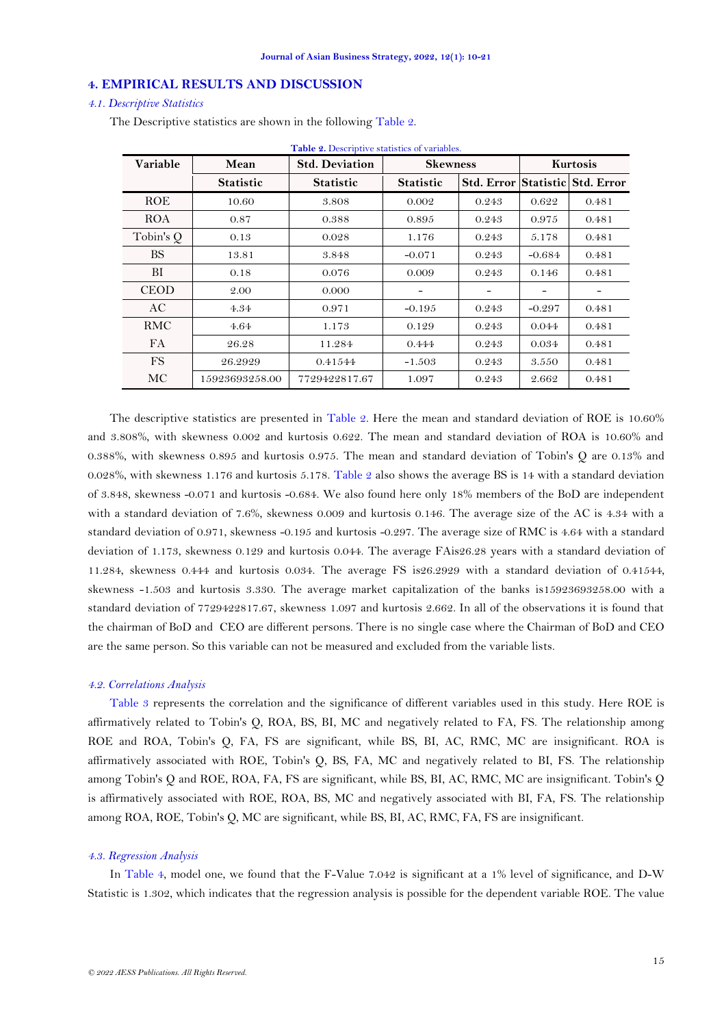# **4. EMPIRICAL RESULTS AND DISCUSSION**

### *4.1. Descriptive Statistics*

| Table 2. Descriptive statistics of variables. |                  |                       |                  |                   |          |                             |  |
|-----------------------------------------------|------------------|-----------------------|------------------|-------------------|----------|-----------------------------|--|
| Variable                                      | Mean             | <b>Std. Deviation</b> | <b>Skewness</b>  |                   | Kurtosis |                             |  |
|                                               | <b>Statistic</b> | <b>Statistic</b>      | <b>Statistic</b> | <b>Std. Error</b> |          | <b>Statistic Std. Error</b> |  |
| <b>ROE</b>                                    | 10.60            | 3.808                 | 0.002            | 0.243             | 0.622    | 0.481                       |  |
| <b>ROA</b>                                    | 0.87             | 0.388                 | 0.895            | 0.243             | 0.975    | 0.481                       |  |
| Tobin's Q                                     | 0.13             | 0.028                 | 1.176            | 0.243             | 5.178    | 0.481                       |  |
| <b>BS</b>                                     | 13.81            | 3.848                 | $-0.071$         | 0.243             | $-0.684$ | 0.481                       |  |
| BI                                            | 0.18             | 0.076                 | 0.009            | 0.243             | 0.146    | 0.481                       |  |
| <b>CEOD</b>                                   | 2.00             | 0.000                 |                  | -                 |          | -                           |  |
| AC                                            | 4.34             | 0.971                 | $-0.195$         | 0.243             | $-0.297$ | 0.481                       |  |
| RMC                                           | 4.64             | 1.173                 | 0.129            | 0.243             | 0.044    | 0.481                       |  |
| <b>FA</b>                                     | 26.28            | 11.284                | 0.444            | 0.243             | 0.034    | 0.481                       |  |
| <b>FS</b>                                     | 26.2929          | 0.41544               | $-1.503$         | 0.243             | 3.550    | 0.481                       |  |
| MC                                            | 15923693258.00   | 7729422817.67         | 1.097            | 0.243             | 2.662    | 0.481                       |  |

<span id="page-5-0"></span>The Descriptive statistics are shown in the following [Table](#page-5-0) 2.

The descriptive statistics are presented in [Table 2.](#page-5-0) Here the mean and standard deviation of ROE is 10.60% and 3.808%, with skewness 0.002 and kurtosis 0.622. The mean and standard deviation of ROA is 10.60% and 0.388%, with skewness 0.895 and kurtosis 0.975. The mean and standard deviation of Tobin's Q are 0.13% and 0.028%, with skewness 1.176 and kurtosis 5.178. [Table 2](#page-5-0) also shows the average BS is 14 with a standard deviation of 3.848, skewness -0.071 and kurtosis -0.684. We also found here only 18% members of the BoD are independent with a standard deviation of 7.6%, skewness 0.009 and kurtosis 0.146. The average size of the AC is 4.34 with a standard deviation of 0.971, skewness -0.195 and kurtosis -0.297. The average size of RMC is 4.64 with a standard deviation of 1.173, skewness 0.129 and kurtosis 0.044. The average FAis26.28 years with a standard deviation of 11.284, skewness 0.444 and kurtosis 0.034. The average FS is26.2929 with a standard deviation of 0.41544, skewness -1.503 and kurtosis 3.330. The average market capitalization of the banks is15923693258.00 with a standard deviation of 7729422817.67, skewness 1.097 and kurtosis 2.662. In all of the observations it is found that the chairman of BoD and CEO are different persons. There is no single case where the Chairman of BoD and CEO are the same person. So this variable can not be measured and excluded from the variable lists.

### *4.2. Correlations Analysis*

[Table 3](#page-6-0) represents the correlation and the significance of different variables used in this study. Here ROE is affirmatively related to Tobin's Q, ROA, BS, BI, MC and negatively related to FA, FS. The relationship among ROE and ROA, Tobin's Q, FA, FS are significant, while BS, BI, AC, RMC, MC are insignificant. ROA is affirmatively associated with ROE, Tobin's Q, BS, FA, MC and negatively related to BI, FS. The relationship among Tobin's Q and ROE, ROA, FA, FS are significant, while BS, BI, AC, RMC, MC are insignificant. Tobin's Q is affirmatively associated with ROE, ROA, BS, MC and negatively associated with BI, FA, FS. The relationship among ROA, ROE, Tobin's Q, MC are significant, while BS, BI, AC, RMC, FA, FS are insignificant.

### *4.3. Regression Analysis*

In [Table 4,](#page-6-1) model one, we found that the F-Value 7.042 is significant at a 1% level of significance, and D-W Statistic is 1.302, which indicates that the regression analysis is possible for the dependent variable ROE. The value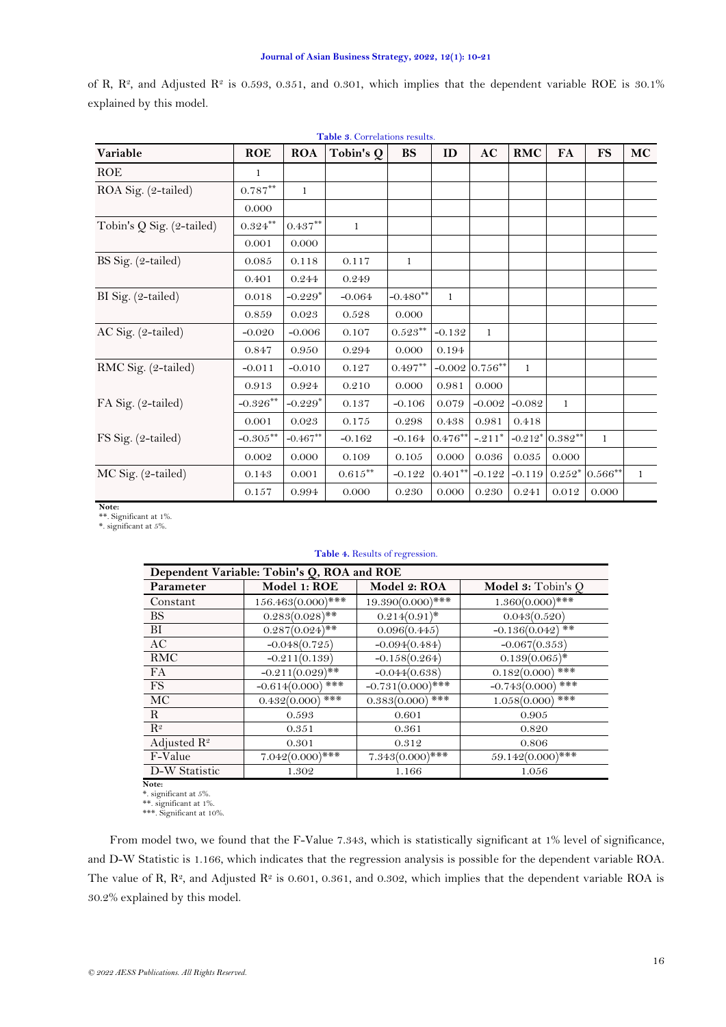<span id="page-6-0"></span>

| Table 3. Correlations results. |                    |              |                    |            |            |                  |           |                  |                 |    |
|--------------------------------|--------------------|--------------|--------------------|------------|------------|------------------|-----------|------------------|-----------------|----|
| Variable                       | <b>ROE</b>         | <b>ROA</b>   | Tobin's Q          | <b>BS</b>  | ID         | AC               | RMC       | FA               | <b>FS</b>       | MC |
| <b>ROE</b>                     | 1                  |              |                    |            |            |                  |           |                  |                 |    |
| ROA Sig. (2-tailed)            | $0.787***$         | $\mathbf{1}$ |                    |            |            |                  |           |                  |                 |    |
|                                | 0.000              |              |                    |            |            |                  |           |                  |                 |    |
| Tobin's $Q$ Sig. (2-tailed)    | $0.324^{\ast\ast}$ | $0.437***$   | 1                  |            |            |                  |           |                  |                 |    |
|                                | 0.001              | 0.000        |                    |            |            |                  |           |                  |                 |    |
| BS Sig. (2-tailed)             | 0.085              | 0.118        | 0.117              | 1          |            |                  |           |                  |                 |    |
|                                | 0.401              | 0.244        | 0.249              |            |            |                  |           |                  |                 |    |
| BI Sig. (2-tailed)             | 0.018              | $-0.229*$    | $-0.064$           | $-0.480**$ | 1          |                  |           |                  |                 |    |
|                                | 0.859              | 0.023        | 0.528              | 0.000      |            |                  |           |                  |                 |    |
| AC Sig. (2-tailed)             | $-0.020$           | $-0.006$     | 0.107              | $0.523***$ | $-0.132$   | $\mathbf{1}$     |           |                  |                 |    |
|                                | 0.847              | 0.950        | 0.294              | 0.000      | 0.194      |                  |           |                  |                 |    |
| RMC Sig. (2-tailed)            | $-0.011$           | $-0.010$     | 0.127              | $0.497**$  |            | $-0.002$ 0.756** | 1         |                  |                 |    |
|                                | 0.913              | 0.924        | 0.210              | 0.000      | 0.981      | 0.000            |           |                  |                 |    |
| FA Sig. (2-tailed)             | $-0.326***$        | $-0.229*$    | 0.137              | $-0.106$   | 0.079      | $-0.002$         | $-0.082$  | $\mathbf{1}$     |                 |    |
|                                | 0.001              | 0.023        | 0.175              | 0.298      | 0.438      | 0.981            | 0.418     |                  |                 |    |
| FS Sig. (2-tailed)             | $-0.305***$        | $-0.467**$   | $-0.162$           | $-0.164$   | $0.476*$   | $-.211*$         |           | $-0.212*0.382**$ | $\mathbf{1}$    |    |
|                                | 0.002              | 0.000        | 0.109              | 0.105      | 0.000      | 0.036            | $0.035\,$ | 0.000            |                 |    |
| MC Sig. (2-tailed)             | 0.143              | 0.001        | $0.615^{\ast\ast}$ | $-0.122$   | $0.401***$ | $-0.122$         | $-0.119$  |                  | $0.252*0.566**$ | 1  |
|                                | 0.157              | 0.994        | 0.000              | 0.230      | 0.000      | 0.230            | 0.241     | 0.012            | 0.000           |    |

of R,  $\mathbb{R}^2$ , and Adjusted  $\mathbb{R}^2$  is 0.593, 0.351, and 0.301, which implies that the dependent variable ROE is 30.1% explained by this model.

#### **Note:**

<span id="page-6-1"></span>\*\*. Significant at 1%. \*. significant at 5%.

## **Table 4.** Results of regression.

| Dependent Variable: Tobin's Q, ROA and ROE |                     |                     |                        |  |  |  |
|--------------------------------------------|---------------------|---------------------|------------------------|--|--|--|
| Parameter                                  | Model 1: ROE        | Model 2: ROA        | Model 3: Tobin's Q     |  |  |  |
| Constant                                   | 156.463(0.000)***   | 19.390(0.000)***    | $1.360(0.000)$ ***     |  |  |  |
| BS.                                        | $0.283(0.028)$ **   | $0.214(0.91)^*$     | 0.043(0.520)           |  |  |  |
| BI                                         | $0.287(0.024)$ **   | 0.096(0.445)        | $-0.136(0.042)$ **     |  |  |  |
| AC                                         | $-0.048(0.725)$     | $-0.094(0.484)$     | $-0.067(0.353)$        |  |  |  |
| <b>RMC</b>                                 | $-0.211(0.139)$     | $-0.158(0.264)$     | $0.139(0.065)^*$       |  |  |  |
| <b>FA</b>                                  | $-0.211(0.029)$ **  | $-0.044(0.638)$     | ***<br>0.182(0.000)    |  |  |  |
| FS.                                        | $-0.614(0.000)$ *** | $-0.731(0.000)$ *** | ***<br>$-0.743(0.000)$ |  |  |  |
| MC                                         | $0.432(0.000)$ ***  | $0.383(0.000)$ ***  | $1.058(0.000)$ ***     |  |  |  |
| $\mathbf{R}$                               | 0.593               | 0.601               | 0.905                  |  |  |  |
| $R^2$                                      | 0.351               | 0.361               | 0.820                  |  |  |  |
| Adjusted $\mathbb{R}^2$                    | 0.301               | 0.312               | 0.806                  |  |  |  |
| F-Value                                    | $7.042(0.000)$ ***  | $7.343(0.000)$ ***  | 59.142(0.000)***       |  |  |  |
| D-W Statistic<br>$\mathbf{v}$              | 1.302               | 1.166               | 1.056                  |  |  |  |

N**ote:**<br>\*. significant at 5%.<br>\*\*. significant at 1%.<br>\*\*\*. Significant at 10%.

From model two, we found that the F-Value 7.343, which is statistically significant at 1% level of significance, and D-W Statistic is 1.166, which indicates that the regression analysis is possible for the dependent variable ROA. The value of R,  $\mathbb{R}^2$ , and Adjusted  $\mathbb{R}^2$  is 0.601, 0.361, and 0.302, which implies that the dependent variable ROA is 30.2% explained by this model.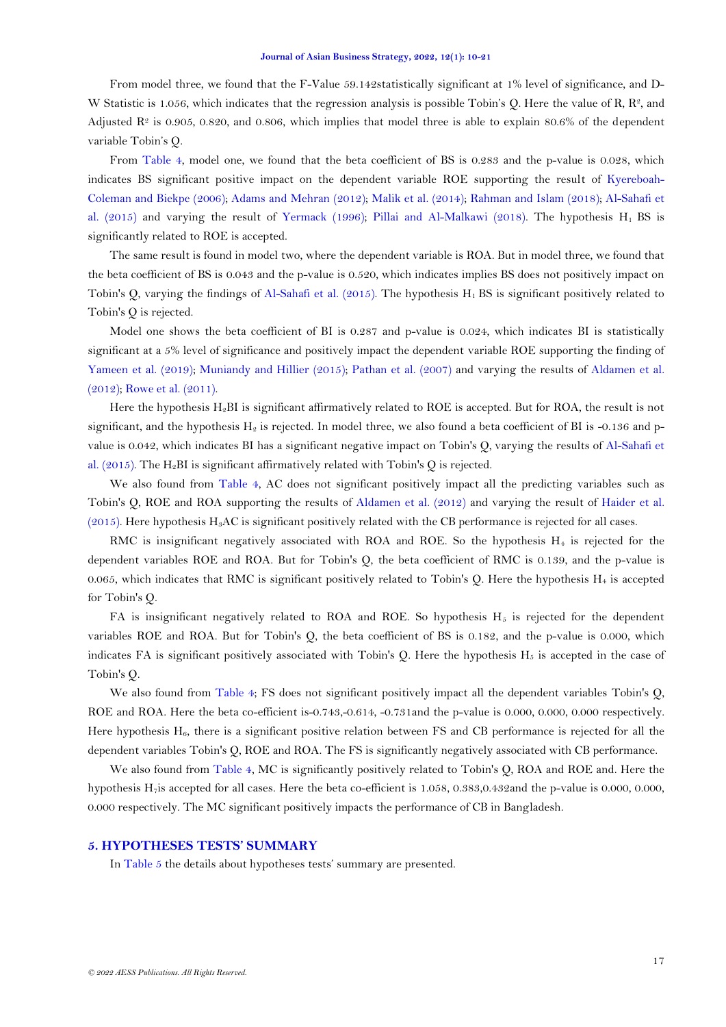From model three, we found that the F-Value 59.142statistically significant at 1% level of significance, and D-W Statistic is 1.056, which indicates that the regression analysis is possible Tobin's Q. Here the value of R,  $\mathbb{R}^2$ , and Adjusted  $\mathbb{R}^2$  is 0.905, 0.820, and 0.806, which implies that model three is able to explain 80.6% of the dependent variable Tobin's Q.

From [Table 4,](#page-6-1) model one, we found that the beta coefficient of BS is 0.283 and the p-value is 0.028, which indicates BS significant positive impact on the dependent variable ROE supporting the result of [Kyereboah-](#page-10-8)[Coleman and Biekpe \(2006\)](#page-10-8)[; Adams and Mehran \(2012\)](#page-9-4); [Malik et al. \(2014\)](#page-10-9); [Rahman and Islam \(2018\)](#page-10-6); [Al-Sahafi et](#page-9-7)  [al. \(2015\)](#page-9-7) and varying the result of [Yermack \(1996\)](#page-11-1); [Pillai and Al-Malkawi \(2018\)](#page-10-11). The hypothesis  $H_1$  BS is significantly related to ROE is accepted.

The same result is found in model two, where the dependent variable is ROA. But in model three, we found that the beta coefficient of BS is 0.043 and the p-value is 0.520, which indicates implies BS does not positively impact on Tobin's Q, varying the findings of Al-Sahafi et al.  $(2015)$ . The hypothesis H<sub>1</sub> BS is significant positively related to Tobin's Q is rejected.

Model one shows the beta coefficient of BI is 0.287 and p-value is 0.024, which indicates BI is statistically significant at a 5% level of significance and positively impact the dependent variable ROE supporting the finding of [Yameen et al. \(2019\)](#page-11-2); [Muniandy and Hillier \(2015\)](#page-10-12); [Pathan et al. \(2007\)](#page-10-13) and varying the results of Aldamen et al. [\(2012\)](#page-9-5)[; Rowe et al. \(2011\)](#page-11-3).

Here the hypothesis H2BI is significant affirmatively related to ROE is accepted. But for ROA, the result is not significant, and the hypothesis  $H_2$  is rejected. In model three, we also found a beta coefficient of BI is -0.136 and pvalue is 0.042, which indicates BI has a significant negative impact on Tobin's Q, varying the results of [Al-Sahafi et](#page-9-7)  [al. \(2015\)](#page-9-7). The H<sub>2</sub>BI is significant affirmatively related with Tobin's Q is rejected.

We also found from [Table 4,](#page-6-1) AC does not significant positively impact all the predicting variables such as Tobin's Q, ROE and ROA supporting the results of [Aldamen et al. \(2012\)](#page-9-5) and varying the result of [Haider et al.](#page-10-17)   $(2015)$ . Here hypothesis H<sub>3</sub>AC is significant positively related with the CB performance is rejected for all cases.

RMC is insignificant negatively associated with ROA and ROE. So the hypothesis  $H<sub>4</sub>$  is rejected for the dependent variables ROE and ROA. But for Tobin's Q, the beta coefficient of RMC is 0.139, and the p-value is 0.065, which indicates that RMC is significant positively related to Tobin's Q. Here the hypothesis  $H_4$  is accepted for Tobin's Q.

FA is insignificant negatively related to ROA and ROE. So hypothesis  $H_5$  is rejected for the dependent variables ROE and ROA. But for Tobin's Q, the beta coefficient of BS is 0.182, and the p-value is 0.000, which indicates FA is significant positively associated with Tobin's Q. Here the hypothesis  $H_5$  is accepted in the case of Tobin's Q.

We also found from [Table 4;](#page-6-1) FS does not significant positively impact all the dependent variables Tobin's Q, ROE and ROA. Here the beta co-efficient is-0.743,-0.614, -0.731and the p-value is 0.000, 0.000, 0.000 respectively. Here hypothesis  $H_6$ , there is a significant positive relation between FS and CB performance is rejected for all the dependent variables Tobin's Q, ROE and ROA. The FS is significantly negatively associated with CB performance.

We also found from [Table 4,](#page-6-1) MC is significantly positively related to Tobin's Q, ROA and ROE and. Here the hypothesis H7is accepted for all cases. Here the beta co-efficient is 1.058, 0.383,0.432and the p-value is 0.000, 0.000, 0.000 respectively. The MC significant positively impacts the performance of CB in Bangladesh.

### **5. HYPOTHESES TESTS' SUMMARY**

I[n Table](#page-8-0) 5 the details about hypotheses tests' summary are presented.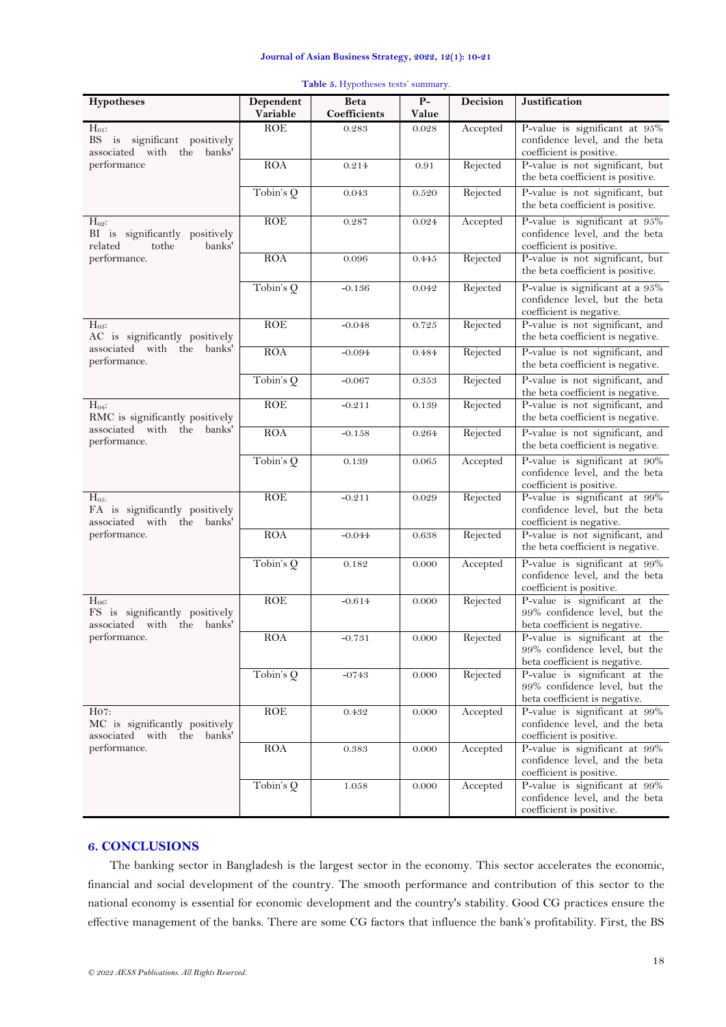<span id="page-8-0"></span>

| Hypotheses                                                                                    | Dependent<br>Variable | Beta<br>Coefficients | $\overline{P}$<br>Value | Decision | Justification                                                                                   |
|-----------------------------------------------------------------------------------------------|-----------------------|----------------------|-------------------------|----------|-------------------------------------------------------------------------------------------------|
| $H_{01}$ :<br>BS is significant positively<br>associated with<br>the<br>banks'<br>performance | <b>ROE</b>            | 0.283                | 0.028                   | Accepted | P-value is significant at 95%<br>confidence level, and the beta<br>coefficient is positive.     |
|                                                                                               | ROA                   | 0.214                | 0.91                    | Rejected | P-value is not significant, but<br>the beta coefficient is positive.                            |
|                                                                                               | Tobin's Q             | 0.043                | 0.520                   | Rejected | P-value is not significant, but<br>the beta coefficient is positive.                            |
| $H_{02}$ :<br>BI is significantly positively<br>related<br>tothe<br>banks'                    | ROE                   | 0.287                | 0.024                   | Accepted | P-value is significant at 95%<br>confidence level, and the beta<br>coefficient is positive.     |
| performance.                                                                                  | <b>ROA</b>            | 0.096                | 0.445                   | Rejected | P-value is not significant, but<br>the beta coefficient is positive.                            |
|                                                                                               | Tobin's Q             | $-0.136$             | 0.042                   | Rejected | P-value is significant at a 95%<br>confidence level, but the beta<br>coefficient is negative.   |
| $H_{03}$ :<br>AC is significantly positively                                                  | ROE                   | $-0.048$             | 0.725                   | Rejected | P-value is not significant, and<br>the beta coefficient is negative.                            |
| associated with the banks'<br>performance.                                                    | ROA                   | $-0.094$             | 0.484                   | Rejected | P-value is not significant, and<br>the beta coefficient is negative.                            |
|                                                                                               | Tobin's $Q$           | $-0.067$             | 0.353                   | Rejected | P-value is not significant, and<br>the beta coefficient is negative.                            |
| $H_{04}$ :<br>RMC is significantly positively<br>associated with the banks'<br>performance.   | ROE                   | $-0.211$             | 0.139                   | Rejected | P-value is not significant, and<br>the beta coefficient is negative.                            |
|                                                                                               | ROA                   | $-0.158$             | 0.264                   | Rejected | P-value is not significant, and<br>the beta coefficient is negative.                            |
|                                                                                               | Tobin's $Q$           | 0.139                | 0.065                   | Accepted | P-value is significant at 90%<br>confidence level, and the beta<br>coefficient is positive.     |
| $H_{05}$<br>FA is significantly positively<br>associated with the banks'<br>performance.      | ROE                   | $-0.211$             | 0.029                   | Rejected | P-value is significant at 99%<br>confidence level, but the beta<br>coefficient is negative.     |
|                                                                                               | ROA                   | $-0.044$             | 0.638                   | Rejected | P-value is not significant, and<br>the beta coefficient is negative.                            |
|                                                                                               | Tobin's Q             | 0.182                | 0.000                   | Accepted | P-value is significant at 99%<br>confidence level, and the beta<br>coefficient is positive.     |
| $H_{06}$ :<br>FS is significantly positively<br>associated with the banks'<br>performance.    | ROE                   | $-0.614$             | 0.000                   | Rejected | P-value is significant at the<br>99% confidence level, but the<br>beta coefficient is negative. |
|                                                                                               | <b>ROA</b>            | $-0.731$             | 0.000                   | Rejected | P-value is significant at the<br>99% confidence level, but the<br>beta coefficient is negative. |
|                                                                                               | Tobin's Q             | $-0743$              | 0.000                   | Rejected | P-value is significant at the<br>99% confidence level, but the<br>beta coefficient is negative. |
| H07:<br>MC is significantly positively<br>associated with the banks'<br>performance.          | ROE                   | 0.432                | 0.000                   | Accepted | P-value is significant at 99%<br>confidence level, and the beta<br>coefficient is positive.     |
|                                                                                               | ROA                   | 0.383                | 0.000                   | Accepted | P-value is significant at 99%<br>confidence level, and the beta<br>coefficient is positive.     |
|                                                                                               | Tobin's $Q$           | 1.058                | 0.000                   | Accepted | P-value is significant at 99%<br>confidence level, and the beta<br>coefficient is positive.     |

# **Table 5.** Hypotheses tests' summary.

# **6. CONCLUSIONS**

The banking sector in Bangladesh is the largest sector in the economy. This sector accelerates the economic, financial and social development of the country. The smooth performance and contribution of this sector to the national economy is essential for economic development and the country's stability. Good CG practices ensure the effective management of the banks. There are some CG factors that influence the bank's profitability. First, the BS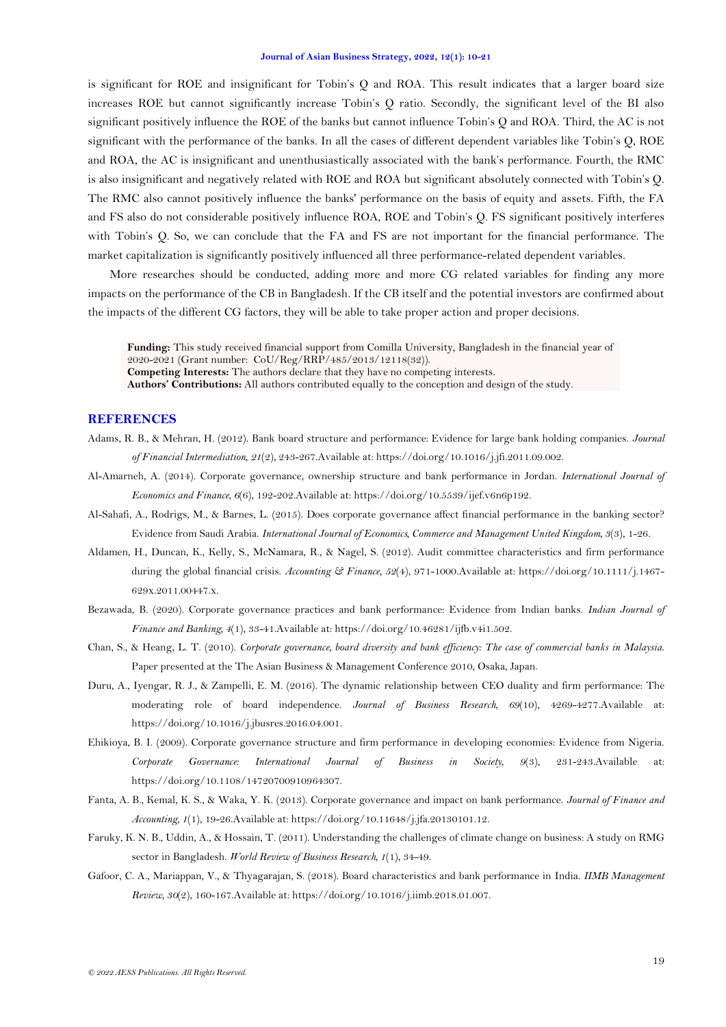is significant for ROE and insignificant for Tobin's Q and ROA. This result indicates that a larger board size increases ROE but cannot significantly increase Tobin's Q ratio. Secondly, the significant level of the BI also significant positively influence the ROE of the banks but cannot influence Tobin's Q and ROA. Third, the AC is not significant with the performance of the banks. In all the cases of different dependent variables like Tobin's Q, ROE and ROA, the AC is insignificant and unenthusiastically associated with the bank's performance. Fourth, the RMC is also insignificant and negatively related with ROE and ROA but significant absolutely connected with Tobin's Q. The RMC also cannot positively influence the banks' performance on the basis of equity and assets. Fifth, the FA and FS also do not considerable positively influence ROA, ROE and Tobin's Q. FS significant positively interferes with Tobin's Q. So, we can conclude that the FA and FS are not important for the financial performance. The market capitalization is significantly positively influenced all three performance-related dependent variables.

More researches should be conducted, adding more and more CG related variables for finding any more impacts on the performance of the CB in Bangladesh. If the CB itself and the potential investors are confirmed about the impacts of the different CG factors, they will be able to take proper action and proper decisions.

**Funding:** This study received financial support from Comilla University, Bangladesh in the financial year of 2020-2021 (Grant number: CoU/Reg/RRP/485/2013/12118(32)). **Competing Interests:** The authors declare that they have no competing interests. **Authors' Contributions:** All authors contributed equally to the conception and design of the study.

# **REFERENCES**

- <span id="page-9-4"></span>Adams, R. B., & Mehran, H. (2012). Bank board structure and performance: Evidence for large bank holding companies. *Journal of Financial Intermediation, 21*(2), 243-267.Available at: https://doi.org/10.1016/j.jfi.2011.09.002.
- <span id="page-9-9"></span>Al-Amarneh, A. (2014). Corporate governance, ownership structure and bank performance in Jordan. *International Journal of Economics and Finance, 6*(6), 192-202.Available at: https://doi.org/10.5539/ijef.v6n6p192.
- <span id="page-9-7"></span>Al-Sahafi, A., Rodrigs, M., & Barnes, L. (2015). Does corporate governance affect financial performance in the banking sector? Evidence from Saudi Arabia. *International Journal of Economics, Commerce and Management United Kingdom, 3*(3), 1-26.
- <span id="page-9-5"></span>Aldamen, H., Duncan, K., Kelly, S., McNamara, R., & Nagel, S. (2012). Audit committee characteristics and firm performance during the global financial crisis. *Accounting & Finance, 52*(4), 971-1000.Available at: https://doi.org/10.1111/j.1467- 629x.2011.00447.x.
- <span id="page-9-0"></span>Bezawada, B. (2020). Corporate governance practices and bank performance: Evidence from Indian banks. *Indian Journal of Finance and Banking, 4*(1), 33-41.Available at: https://doi.org/10.46281/ijfb.v4i1.502.
- <span id="page-9-6"></span>Chan, S., & Heang, L. T. (2010). *Corporate governance, board diversity and bank efficiency: The case of commercial banks in Malaysia*. Paper presented at the The Asian Business & Management Conference 2010, Osaka, Japan.
- <span id="page-9-8"></span>Duru, A., Iyengar, R. J., & Zampelli, E. M. (2016). The dynamic relationship between CEO duality and firm performance: The moderating role of board independence. *Journal of Business Research, 69*(10), 4269-4277.Available at: https://doi.org/10.1016/j.jbusres.2016.04.001.
- <span id="page-9-1"></span>Ehikioya, B. I. (2009). Corporate governance structure and firm performance in developing economies: Evidence from Nigeria. *Corporate Governance: International Journal of Business in Society, 9*(3), 231-243.Available at: https://doi.org/10.1108/14720700910964307.
- <span id="page-9-3"></span>Fanta, A. B., Kemal, K. S., & Waka, Y. K. (2013). Corporate governance and impact on bank performance. *Journal of Finance and Accounting, 1*(1), 19-26.Available at: https://doi.org/10.11648/j.jfa.20130101.12.
- <span id="page-9-2"></span>Faruky, K. N. B., Uddin, A., & Hossain, T. (2011). Understanding the challenges of climate change on business: A study on RMG sector in Bangladesh. *World Review of Business Research, 1*(1), 34-49.
- <span id="page-9-10"></span>Gafoor, C. A., Mariappan, V., & Thyagarajan, S. (2018). Board characteristics and bank performance in India. *IIMB Management Review, 30*(2), 160-167.Available at: https://doi.org/10.1016/j.iimb.2018.01.007.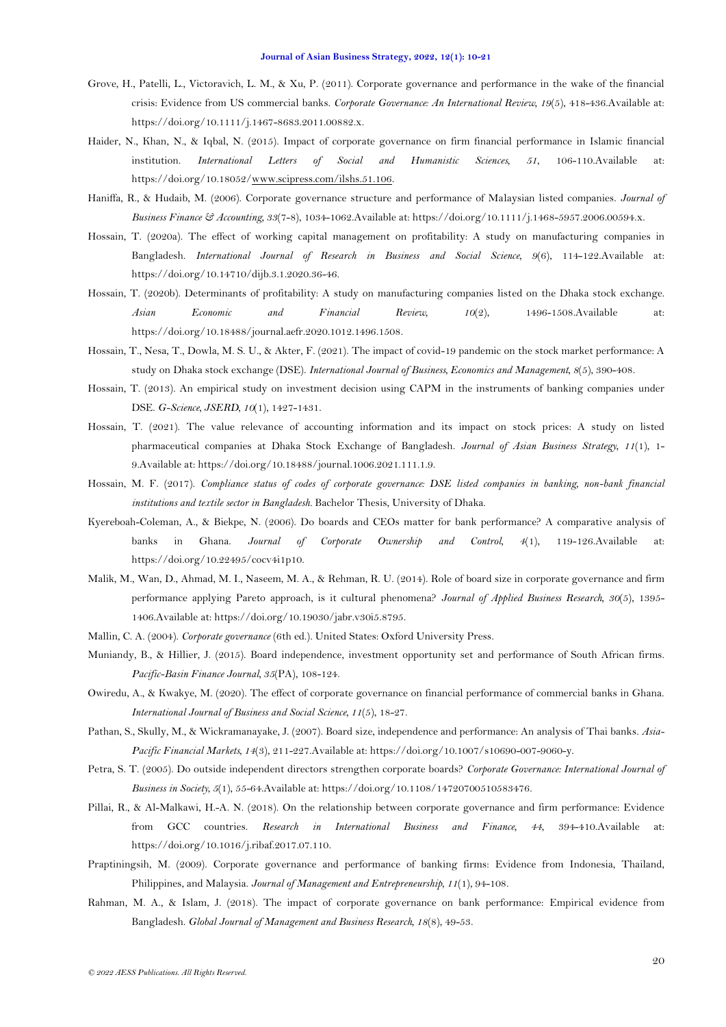- <span id="page-10-15"></span>Grove, H., Patelli, L., Victoravich, L. M., & Xu, P. (2011). Corporate governance and performance in the wake of the financial crisis: Evidence from US commercial banks. *Corporate Governance: An International Review, 19*(5), 418-436.Available at: https://doi.org/10.1111/j.1467-8683.2011.00882.x.
- <span id="page-10-17"></span>Haider, N., Khan, N., & Iqbal, N. (2015). Impact of corporate governance on firm financial performance in Islamic financial institution. *International Letters of Social and Humanistic Sciences, 51*, 106-110.Available at: https://doi.org/10.18052[/www.scipress.com/ilshs.51.106.](http://www.scipress.com/ilshs.51.106)
- <span id="page-10-10"></span>Haniffa, R., & Hudaib, M. (2006). Corporate governance structure and performance of Malaysian listed companies. *Journal of Business Finance & Accounting, 33*(7-8), 1034-1062.Available at: https://doi.org/10.1111/j.1468-5957.2006.00594.x.
- <span id="page-10-18"></span>Hossain, T. (2020a). The effect of working capital management on profitability: A study on manufacturing companies in Bangladesh. *International Journal of Research in Business and Social Science, 9*(6), 114-122.Available at: https://doi.org/10.14710/dijb.3.1.2020.36-46.
- <span id="page-10-2"></span>Hossain, T. (2020b). Determinants of profitability: A study on manufacturing companies listed on the Dhaka stock exchange. *Asian Economic and Financial Review, 10*(2), 1496-1508.Available at: https://doi.org/10.18488/journal.aefr.2020.1012.1496.1508.
- <span id="page-10-3"></span>Hossain, T., Nesa, T., Dowla, M. S. U., & Akter, F. (2021). The impact of covid-19 pandemic on the stock market performance: A study on Dhaka stock exchange (DSE). *International Journal of Business, Economics and Management, 8*(5), 390-408.
- <span id="page-10-4"></span>Hossain, T. (2013). An empirical study on investment decision using CAPM in the instruments of banking companies under DSE. *G-Science, JSERD, 10*(1), 1427-1431.
- <span id="page-10-5"></span>Hossain, T. (2021). The value relevance of accounting information and its impact on stock prices: A study on listed pharmaceutical companies at Dhaka Stock Exchange of Bangladesh. *Journal of Asian Business Strategy, 11*(1), 1- 9.Available at: https://doi.org/10.18488/journal.1006.2021.111.1.9.
- <span id="page-10-7"></span>Hossain, M. F. (2017). *Compliance status of codes of corporate governance: DSE listed companies in banking, non-bank financial institutions and textile sector in Bangladesh.* Bachelor Thesis, University of Dhaka.
- <span id="page-10-8"></span>Kyereboah-Coleman, A., & Biekpe, N. (2006). Do boards and CEOs matter for bank performance? A comparative analysis of banks in Ghana. *Journal of Corporate Ownership and Control, 4*(1), 119-126.Available at: https://doi.org/10.22495/cocv4i1p10.
- <span id="page-10-9"></span>Malik, M., Wan, D., Ahmad, M. I., Naseem, M. A., & Rehman, R. U. (2014). Role of board size in corporate governance and firm performance applying Pareto approach, is it cultural phenomena? *Journal of Applied Business Research, 30*(5), 1395- 1406.Available at: https://doi.org/10.19030/jabr.v30i5.8795.
- <span id="page-10-1"></span>Mallin, C. A. (2004). *Corporate governance* (6th ed.). United States: Oxford University Press.
- <span id="page-10-12"></span>Muniandy, B., & Hillier, J. (2015). Board independence, investment opportunity set and performance of South African firms. *Pacific-Basin Finance Journal, 35*(PA), 108-124.
- <span id="page-10-0"></span>Owiredu, A., & Kwakye, M. (2020). The effect of corporate governance on financial performance of commercial banks in Ghana. *International Journal of Business and Social Science, 11*(5), 18-27.
- <span id="page-10-13"></span>Pathan, S., Skully, M., & Wickramanayake, J. (2007). Board size, independence and performance: An analysis of Thai banks. *Asia-Pacific Financial Markets, 14*(3), 211-227.Available at: https://doi.org/10.1007/s10690-007-9060-y.
- <span id="page-10-14"></span>Petra, S. T. (2005). Do outside independent directors strengthen corporate boards? *Corporate Governance: International Journal of Business in Society, 5*(1), 55-64.Available at: https://doi.org/10.1108/14720700510583476.
- <span id="page-10-11"></span>Pillai, R., & Al-Malkawi, H.-A. N. (2018). On the relationship between corporate governance and firm performance: Evidence from GCC countries. *Research in International Business and Finance, 44*, 394-410.Available at: https://doi.org/10.1016/j.ribaf.2017.07.110.
- <span id="page-10-16"></span>Praptiningsih, M. (2009). Corporate governance and performance of banking firms: Evidence from Indonesia, Thailand, Philippines, and Malaysia. *Journal of Management and Entrepreneurship, 11*(1), 94-108.
- <span id="page-10-6"></span>Rahman, M. A., & Islam, J. (2018). The impact of corporate governance on bank performance: Empirical evidence from Bangladesh. *Global Journal of Management and Business Research, 18*(8), 49-53.